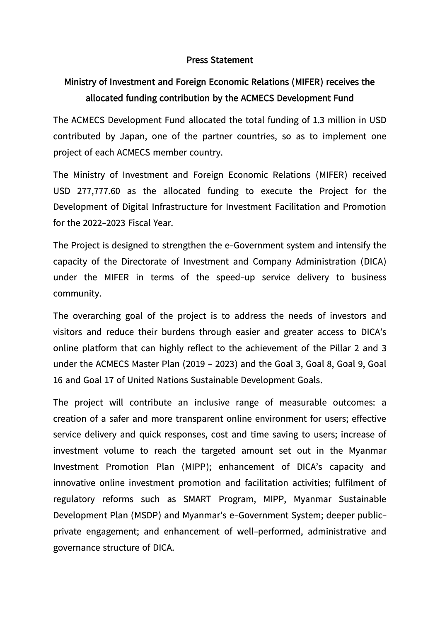## **Press Statement**

## **Ministry of Investment and Foreign Economic Relations (MIFER) receives the allocated funding contribution by the ACMECS Development Fund**

The ACMECS Development Fund allocated the total funding of 1.3 million in USD contributed by Japan, one of the partner countries, so as to implement one project of each ACMECS member country.

The Ministry of Investment and Foreign Economic Relations (MIFER) received USD 277,777.60 as the allocated funding to execute the Project for the Development of Digital Infrastructure for Investment Facilitation and Promotion for the 2022-2023 Fiscal Year.

The Project is designed to strengthen the e-Government system and intensify the capacity of the Directorate of Investment and Company Administration (DICA) under the MIFER in terms of the speed-up service delivery to business community.

The overarching goal of the project is to address the needs of investors and visitors and reduce their burdens through easier and greater access to DICA's online platform that can highly reflect to the achievement of the Pillar 2 and 3 under the ACMECS Master Plan (2019 – 2023) and the Goal 3, Goal 8, Goal 9, Goal 16 and Goal 17 of United Nations Sustainable Development Goals.

The project will contribute an inclusive range of measurable outcomes: a creation of a safer and more transparent online environment for users; effective service delivery and quick responses, cost and time saving to users; increase of investment volume to reach the targeted amount set out in the Myanmar Investment Promotion Plan (MIPP); enhancement of DICA's capacity and innovative online investment promotion and facilitation activities; fulfilment of regulatory reforms such as SMART Program, MIPP, Myanmar Sustainable Development Plan (MSDP) and Myanmar's e-Government System; deeper publicprivate engagement; and enhancement of well-performed, administrative and governance structure of DICA.